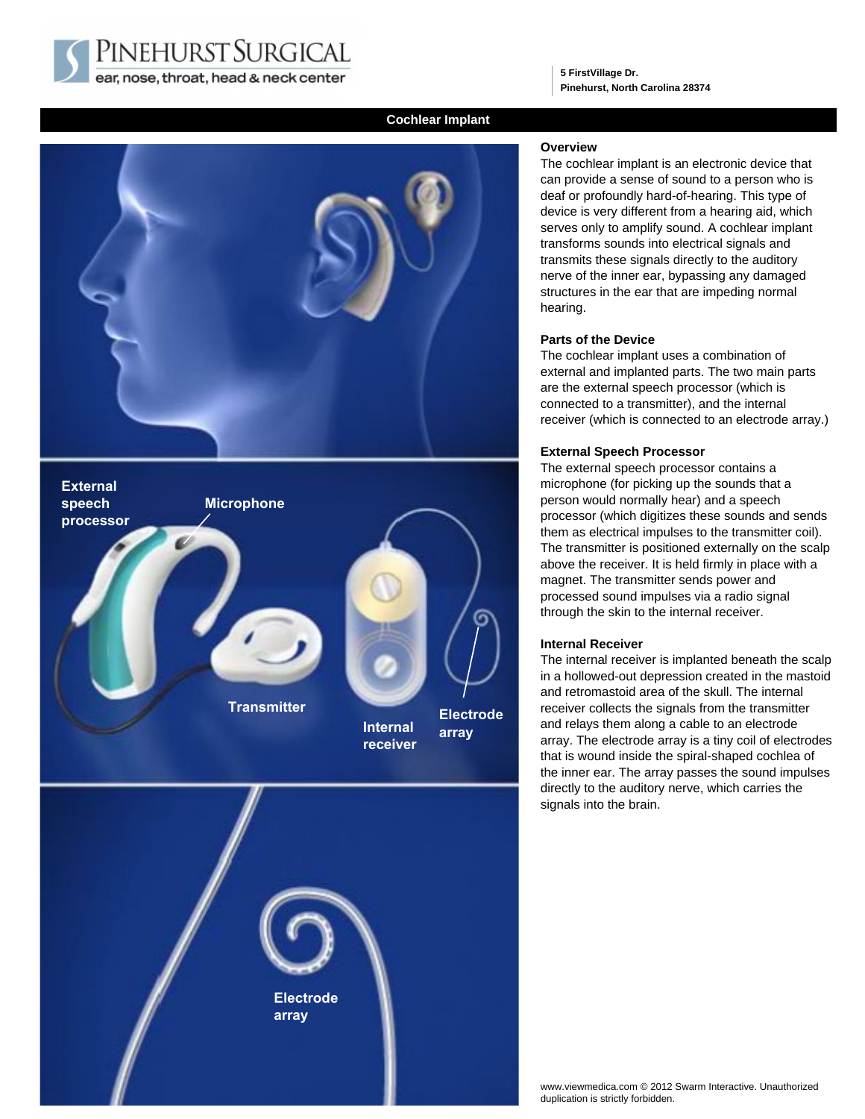PINEHURST SURGICAL ear, nose, throat, head & neck center

**5 FirstVillage Dr. Pinehurst, North Carolina 28374**

# **Cochlear Implant**





**Electrode array**

### **Overview**

The cochlear implant is an electronic device that can provide a sense of sound to a person who is deaf or profoundly hard-of-hearing. This type of device is very different from a hearing aid, which serves only to amplify sound. A cochlear implant transforms sounds into electrical signals and transmits these signals directly to the auditory nerve of the inner ear, bypassing any damaged structures in the ear that are impeding normal hearing.

#### **Parts of the Device**

The cochlear implant uses a combination of external and implanted parts. The two main parts are the external speech processor (which is connected to a transmitter), and the internal receiver (which is connected to an electrode array.)

#### **External Speech Processor**

The external speech processor contains a microphone (for picking up the sounds that a person would normally hear) and a speech processor (which digitizes these sounds and sends them as electrical impulses to the transmitter coil). The transmitter is positioned externally on the scalp above the receiver. It is held firmly in place with a magnet. The transmitter sends power and processed sound impulses via a radio signal through the skin to the internal receiver.

#### **Internal Receiver**

The internal receiver is implanted beneath the scalp in a hollowed-out depression created in the mastoid and retromastoid area of the skull. The internal receiver collects the signals from the transmitter and relays them along a cable to an electrode array. The electrode array is a tiny coil of electrodes that is wound inside the spiral-shaped cochlea of the inner ear. The array passes the sound impulses directly to the auditory nerve, which carries the signals into the brain.